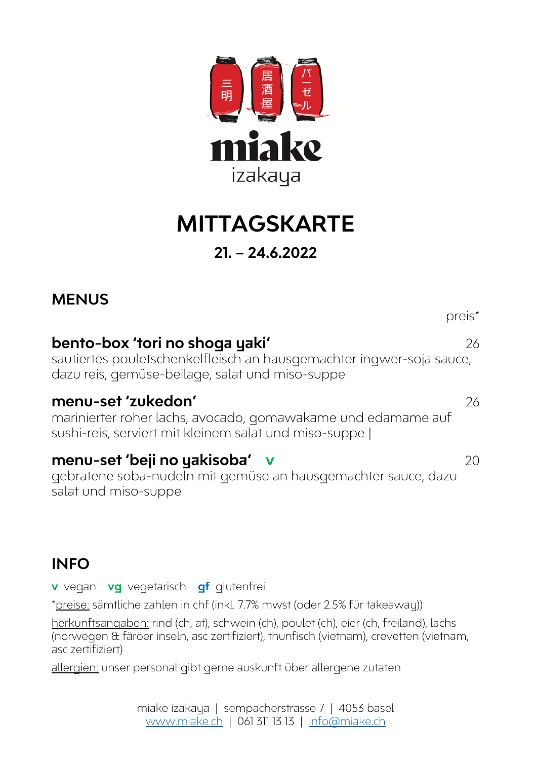

## **MITTAGSKARTE 21. – 24.6.2022**

#### **MENUS**

### **bento-box 'tori no shoga yaki'** 26

sautiertes pouletschenkelfleisch an hausgemachter ingwer-soja sauce, dazu reis, gemüse-beilage, salat und miso-suppe

#### **menu-set 'zukedon'** 26

marinierter roher lachs, avocado, gomawakame und edamame auf sushi-reis, serviert mit kleinem salat und miso-suppe |

#### **menu-set 'beji no yakisoba' v** 20

gebratene soba-nudeln mit gemüse an hausgemachter sauce, dazu salat und miso-suppe

#### **INFO**

**v** vegan **vg** vegetarisch **gf** glutenfrei

\*preise: sämtliche zahlen in chf (inkl. 7.7% mwst (oder 2.5% für takeaway))

herkunftsangaben: rind (ch, at), schwein (ch), poulet (ch), eier (ch, freiland), lachs (norwegen & färöer inseln, asc zertifiziert), thunfisch (vietnam), crevetten (vietnam, asc zertifiziert)

allergien: unser personal gibt gerne auskunft über allergene zutaten

preis\*